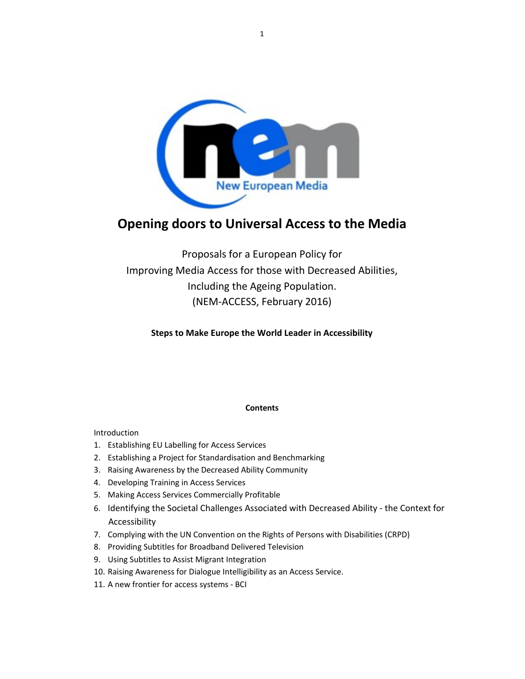

# **Opening doors to Universal Access to the Media**

Proposals for a European Policy for Improving Media Access for those with Decreased Abilities, Including the Ageing Population. (NEM-ACCESS, February 2016)

**Steps to Make Europe the World Leader in Accessibility**

# **Contents**

Introduction

- 1. Establishing EU Labelling for Access Services
- 2. Establishing a Project for Standardisation and Benchmarking
- 3. Raising Awareness by the Decreased Ability Community
- 4. Developing Training in Access Services
- 5. Making Access Services Commercially Profitable
- 6. Identifying the Societal Challenges Associated with Decreased Ability the Context for Accessibility
- 7. Complying with the UN Convention on the Rights of Persons with Disabilities (CRPD)
- 8. Providing Subtitles for Broadband Delivered Television
- 9. Using Subtitles to Assist Migrant Integration
- 10. Raising Awareness for Dialogue Intelligibility as an Access Service.
- 11. A new frontier for access systems BCI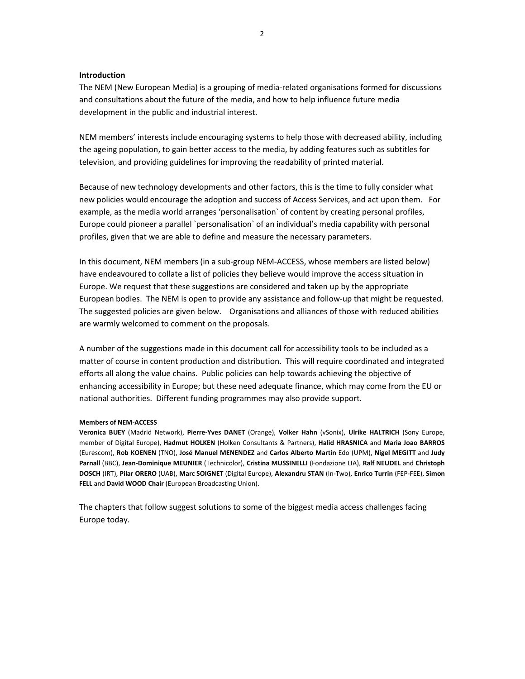#### **Introduction**

The NEM (New European Media) is a grouping of media-related organisations formed for discussions and consultations about the future of the media, and how to help influence future media development in the public and industrial interest.

NEM members' interests include encouraging systems to help those with decreased ability, including the ageing population, to gain better access to the media, by adding features such as subtitles for television, and providing guidelines for improving the readability of printed material.

Because of new technology developments and other factors, this is the time to fully consider what new policies would encourage the adoption and success of Access Services, and act upon them. For example, as the media world arranges 'personalisation` of content by creating personal profiles, Europe could pioneer a parallel `personalisation` of an individual's media capability with personal profiles, given that we are able to define and measure the necessary parameters.

In this document, NEM members (in a sub-group NEM-ACCESS, whose members are listed below) have endeavoured to collate a list of policies they believe would improve the access situation in Europe. We request that these suggestions are considered and taken up by the appropriate European bodies. The NEM is open to provide any assistance and follow-up that might be requested. The suggested policies are given below. Organisations and alliances of those with reduced abilities are warmly welcomed to comment on the proposals.

A number of the suggestions made in this document call for accessibility tools to be included as a matter of course in content production and distribution. This will require coordinated and integrated efforts all along the value chains. Public policies can help towards achieving the objective of enhancing accessibility in Europe; but these need adequate finance, which may come from the EU or national authorities. Different funding programmes may also provide support.

#### **Members of NEM-ACCESS**

**Veronica BUEY** (Madrid Network), **Pierre-Yves DANET** (Orange), **Volker Hahn** (vSonix), **Ulrike HALTRICH** (Sony Europe, member of Digital Europe), **Hadmut HOLKEN** (Holken Consultants & Partners), **Halid HRASNICA** and **Maria Joao BARROS** (Eurescom), **Rob KOENEN** (TNO), **José Manuel MENENDEZ** and **Carlos Alberto Martín** Edo (UPM), **Nigel MEGITT** and **Judy Parnall** (BBC), **Jean-Dominique MEUNIER** (Technicolor), **Cristina MUSSINELLI** (Fondazione LIA), **Ralf NEUDEL** and **Christoph DOSCH** (IRT), **Pilar ORERO** (UAB), **Marc SOIGNET** (Digital Europe), **Alexandru STAN** (In-Two), **Enrico Turrin** (FEP-FEE), **Simon FELL** and **David WOOD Chair** (European Broadcasting Union).

The chapters that follow suggest solutions to some of the biggest media access challenges facing Europe today.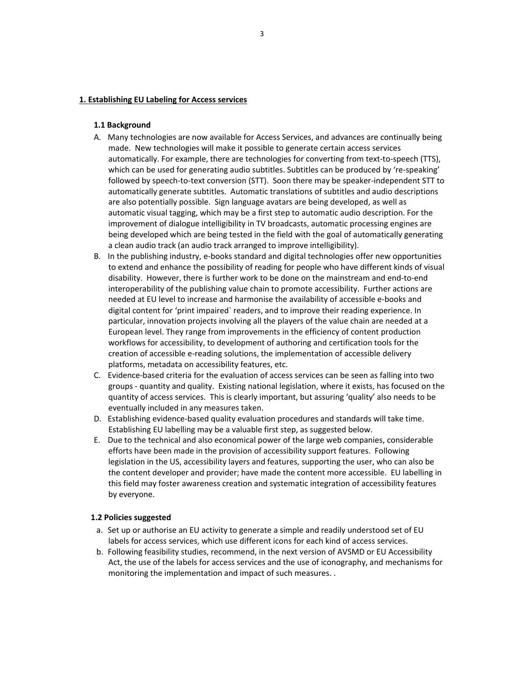#### **1. Establishing EU Labeling for Access services**

#### **1.1 Background**

- A. Many technologies are now available for Access Services, and advances are continually being made. New technologies will make it possible to generate certain access services automatically. For example, there are technologies for converting from text-to-speech (TTS), which can be used for generating audio subtitles. Subtitles can be produced by 're-speaking' followed by speech-to-text conversion (STT). Soon there may be speaker-independent STT to automatically generate subtitles. Automatic translations of subtitles and audio descriptions are also potentially possible. Sign language avatars are being developed, as well as automatic visual tagging, which may be a first step to automatic audio description. For the improvement of dialogue intelligibility in TV broadcasts, automatic processing engines are being developed which are being tested in the field with the goal of automatically generating a clean audio track (an audio track arranged to improve intelligibility).
- B. In the publishing industry, e-books standard and digital technologies offer new opportunities to extend and enhance the possibility of reading for people who have different kinds of visual disability. However, there is further work to be done on the mainstream and end-to-end interoperability of the publishing value chain to promote accessibility. Further actions are needed at EU level to increase and harmonise the availability of accessible e-books and digital content for 'print impaired` readers, and to improve their reading experience. In particular, innovation projects involving all the players of the value chain are needed at a European level. They range from improvements in the efficiency of content production workflows for accessibility, to development of authoring and certification tools for the creation of accessible e-reading solutions, the implementation of accessible delivery platforms, metadata on accessibility features, etc.
- C. Evidence-based criteria for the evaluation of access services can be seen as falling into two groups - quantity and quality. Existing national legislation, where it exists, has focused on the quantity of access services. This is clearly important, but assuring 'quality' also needs to be eventually included in any measures taken.
- D. Establishing evidence-based quality evaluation procedures and standards will take time. Establishing EU labelling may be a valuable first step, as suggested below.
- E. Due to the technical and also economical power of the large web companies, considerable efforts have been made in the provision of accessibility support features. Following legislation in the US, accessibility layers and features, supporting the user, who can also be the content developer and provider; have made the content more accessible. EU labelling in this field may foster awareness creation and systematic integration of accessibility features by everyone.

#### **1.2 Policies suggested**

- a. Set up or authorise an EU activity to generate a simple and readily understood set of EU labels for access services, which use different icons for each kind of access services.
- b. Following feasibility studies, recommend, in the next version of AVSMD or EU Accessibility Act, the use of the labels for access services and the use of iconography, and mechanisms for monitoring the implementation and impact of such measures. .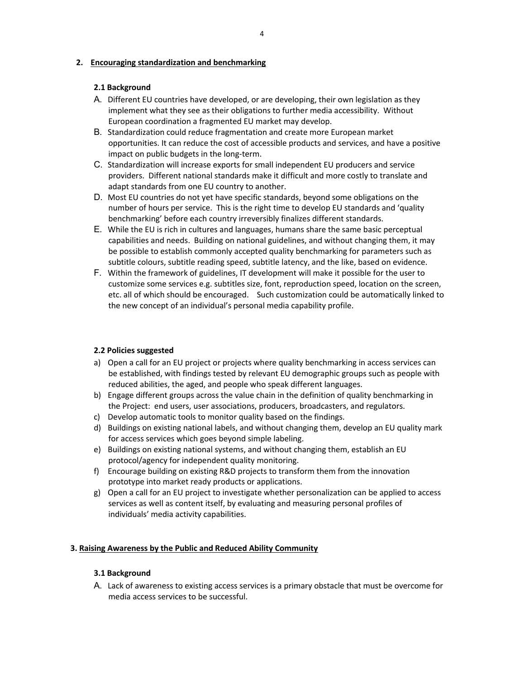# **2. Encouraging standardization and benchmarking**

# **2.1 Background**

- A. Different EU countries have developed, or are developing, their own legislation as they implement what they see as their obligations to further media accessibility. Without European coordination a fragmented EU market may develop.
- B. Standardization could reduce fragmentation and create more European market opportunities. It can reduce the cost of accessible products and services, and have a positive impact on public budgets in the long-term.
- C. Standardization will increase exports for small independent EU producers and service providers. Different national standards make it difficult and more costly to translate and adapt standards from one EU country to another.
- D. Most EU countries do not yet have specific standards, beyond some obligations on the number of hours per service. This is the right time to develop EU standards and 'quality benchmarking' before each country irreversibly finalizes different standards.
- E. While the EU is rich in cultures and languages, humans share the same basic perceptual capabilities and needs. Building on national guidelines, and without changing them, it may be possible to establish commonly accepted quality benchmarking for parameters such as subtitle colours, subtitle reading speed, subtitle latency, and the like, based on evidence.
- F. Within the framework of guidelines, IT development will make it possible for the user to customize some services e.g. subtitles size, font, reproduction speed, location on the screen, etc. all of which should be encouraged. Such customization could be automatically linked to the new concept of an individual's personal media capability profile.

# **2.2 Policies suggested**

- a) Open a call for an EU project or projects where quality benchmarking in access services can be established, with findings tested by relevant EU demographic groups such as people with reduced abilities, the aged, and people who speak different languages.
- b) Engage different groups across the value chain in the definition of quality benchmarking in the Project: end users, user associations, producers, broadcasters, and regulators.
- c) Develop automatic tools to monitor quality based on the findings.
- d) Buildings on existing national labels, and without changing them, develop an EU quality mark for access services which goes beyond simple labeling.
- e) Buildings on existing national systems, and without changing them, establish an EU protocol/agency for independent quality monitoring.
- f) Encourage building on existing R&D projects to transform them from the innovation prototype into market ready products or applications.
- g) Open a call for an EU project to investigate whether personalization can be applied to access services as well as content itself, by evaluating and measuring personal profiles of individuals' media activity capabilities.

### **3. Raising Awareness by the Public and Reduced Ability Community**

### **3.1 Background**

A. Lack of awareness to existing access services is a primary obstacle that must be overcome for media access services to be successful.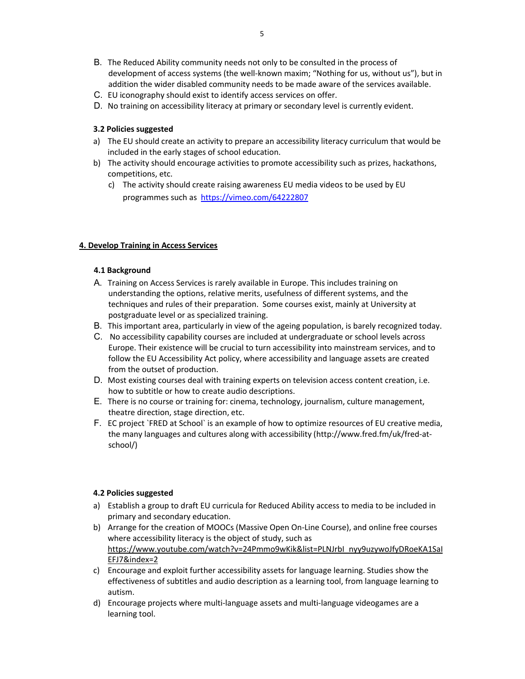- B. The Reduced Ability community needs not only to be consulted in the process of development of access systems (the well-known maxim; "Nothing for us, without us"), but in addition the wider disabled community needs to be made aware of the services available.
- C. EU iconography should exist to identify access services on offer.
- D. No training on accessibility literacy at primary or secondary level is currently evident.

### **3.2 Policies suggested**

- a) The EU should create an activity to prepare an accessibility literacy curriculum that would be included in the early stages of school education.
- b) The activity should encourage activities to promote accessibility such as prizes, hackathons, competitions, etc.
	- c) The activity should create raising awareness EU media videos to be used by EU programmes such as https://vimeo.com/64222807

# **4. Develop Training in Access Services**

### **4.1 Background**

- A. Training on Access Services is rarely available in Europe. This includes training on understanding the options, relative merits, usefulness of different systems, and the techniques and rules of their preparation. Some courses exist, mainly at University at postgraduate level or as specialized training.
- B. This important area, particularly in view of the ageing population, is barely recognized today.
- C. No accessibility capability courses are included at undergraduate or school levels across Europe. Their existence will be crucial to turn accessibility into mainstream services, and to follow the EU Accessibility Act policy, where accessibility and language assets are created from the outset of production.
- D. Most existing courses deal with training experts on television access content creation, i.e. how to subtitle or how to create audio descriptions.
- E. There is no course or training for: cinema, technology, journalism, culture management, theatre direction, stage direction, etc.
- F. EC project `FRED at School` is an example of how to optimize resources of EU creative media, the many languages and cultures along with accessibility (http://www.fred.fm/uk/fred-atschool/)

### **4.2 Policies suggested**

- a) Establish a group to draft EU curricula for Reduced Ability access to media to be included in primary and secondary education.
- b) Arrange for the creation of MOOCs (Massive Open On-Line Course), and online free courses where accessibility literacy is the object of study, such as https://www.youtube.com/watch?v=24Pmmo9wKik&list=PLNJrbI\_nyy9uzywoJfyDRoeKA1SaI EFJ7&index=2
- c) Encourage and exploit further accessibility assets for language learning. Studies show the effectiveness of subtitles and audio description as a learning tool, from language learning to autism.
- d) Encourage projects where multi-language assets and multi-language videogames are a learning tool.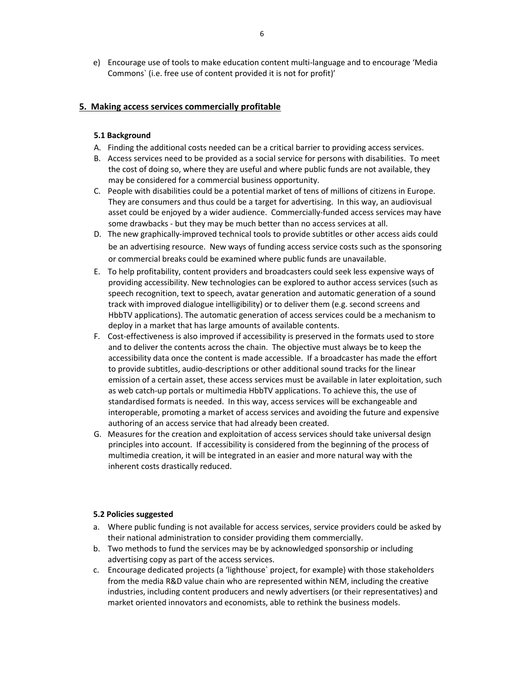e) Encourage use of tools to make education content multi-language and to encourage 'Media Commons` (i.e. free use of content provided it is not for profit)'

### **5. Making access services commercially profitable**

#### **5.1 Background**

- A. Finding the additional costs needed can be a critical barrier to providing access services.
- B. Access services need to be provided as a social service for persons with disabilities. To meet the cost of doing so, where they are useful and where public funds are not available, they may be considered for a commercial business opportunity.
- C. People with disabilities could be a potential market of tens of millions of citizens in Europe. They are consumers and thus could be a target for advertising. In this way, an audiovisual asset could be enjoyed by a wider audience. Commercially-funded access services may have some drawbacks - but they may be much better than no access services at all.
- D. The new graphically-improved technical tools to provide subtitles or other access aids could be an advertising resource. New ways of funding access service costs such as the sponsoring or commercial breaks could be examined where public funds are unavailable.
- E. To help profitability, content providers and broadcasters could seek less expensive ways of providing accessibility. New technologies can be explored to author access services (such as speech recognition, text to speech, avatar generation and automatic generation of a sound track with improved dialogue intelligibility) or to deliver them (e.g. second screens and HbbTV applications). The automatic generation of access services could be a mechanism to deploy in a market that has large amounts of available contents.
- F. Cost-effectiveness is also improved if accessibility is preserved in the formats used to store and to deliver the contents across the chain. The objective must always be to keep the accessibility data once the content is made accessible. If a broadcaster has made the effort to provide subtitles, audio-descriptions or other additional sound tracks for the linear emission of a certain asset, these access services must be available in later exploitation, such as web catch-up portals or multimedia HbbTV applications. To achieve this, the use of standardised formats is needed. In this way, access services will be exchangeable and interoperable, promoting a market of access services and avoiding the future and expensive authoring of an access service that had already been created.
- G. Measures for the creation and exploitation of access services should take universal design principles into account. If accessibility is considered from the beginning of the process of multimedia creation, it will be integrated in an easier and more natural way with the inherent costs drastically reduced.

#### **5.2 Policies suggested**

- a. Where public funding is not available for access services, service providers could be asked by their national administration to consider providing them commercially.
- b. Two methods to fund the services may be by acknowledged sponsorship or including advertising copy as part of the access services.
- c. Encourage dedicated projects (a 'lighthouse` project, for example) with those stakeholders from the media R&D value chain who are represented within NEM, including the creative industries, including content producers and newly advertisers (or their representatives) and market oriented innovators and economists, able to rethink the business models.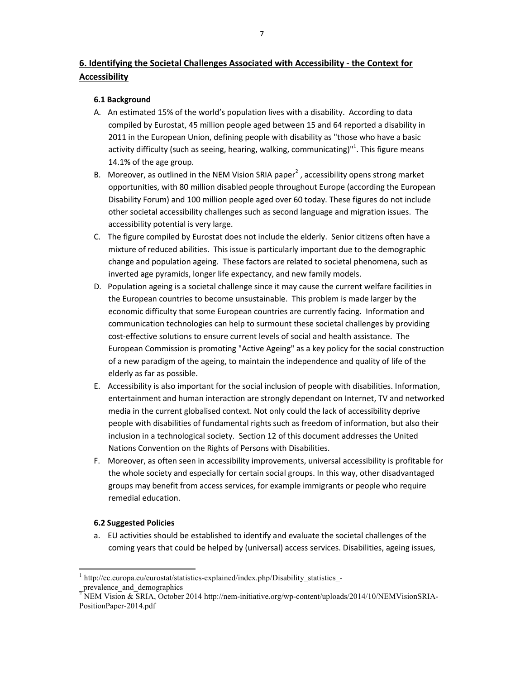# **6. Identifying the Societal Challenges Associated with Accessibility - the Context for Accessibility**

# **6.1 Background**

- A. An estimated 15% of the world's population lives with a disability. According to data compiled by Eurostat, 45 million people aged between 15 and 64 reported a disability in 2011 in the European Union, defining people with disability as "those who have a basic activity difficulty (such as seeing, hearing, walking, communicating)"<sup>1</sup>. This figure means 14.1% of the age group.
- B. Moreover, as outlined in the NEM Vision SRIA paper<sup>2</sup>, accessibility opens strong market opportunities, with 80 million disabled people throughout Europe (according the European Disability Forum) and 100 million people aged over 60 today. These figures do not include other societal accessibility challenges such as second language and migration issues. The accessibility potential is very large.
- C. The figure compiled by Eurostat does not include the elderly. Senior citizens often have a mixture of reduced abilities. This issue is particularly important due to the demographic change and population ageing. These factors are related to societal phenomena, such as inverted age pyramids, longer life expectancy, and new family models.
- D. Population ageing is a societal challenge since it may cause the current welfare facilities in the European countries to become unsustainable. This problem is made larger by the economic difficulty that some European countries are currently facing. Information and communication technologies can help to surmount these societal challenges by providing cost-effective solutions to ensure current levels of social and health assistance. The European Commission is promoting "Active Ageing" as a key policy for the social construction of a new paradigm of the ageing, to maintain the independence and quality of life of the elderly as far as possible.
- E. Accessibility is also important for the social inclusion of people with disabilities. Information, entertainment and human interaction are strongly dependant on Internet, TV and networked media in the current globalised context. Not only could the lack of accessibility deprive people with disabilities of fundamental rights such as freedom of information, but also their inclusion in a technological society. Section 12 of this document addresses the United Nations Convention on the Rights of Persons with Disabilities.
- F. Moreover, as often seen in accessibility improvements, universal accessibility is profitable for the whole society and especially for certain social groups. In this way, other disadvantaged groups may benefit from access services, for example immigrants or people who require remedial education.

### **6.2 Suggested Policies**

a. EU activities should be established to identify and evaluate the societal challenges of the coming years that could be helped by (universal) access services. Disabilities, ageing issues,

 $\overline{a}$ <sup>1</sup> http://ec.europa.eu/eurostat/statistics-explained/index.php/Disability\_statistics -

prevalence and demographics

<sup>&</sup>lt;sup>2</sup> NEM Vision & SRIA, October 2014 http://nem-initiative.org/wp-content/uploads/2014/10/NEMVisionSRIA-PositionPaper-2014.pdf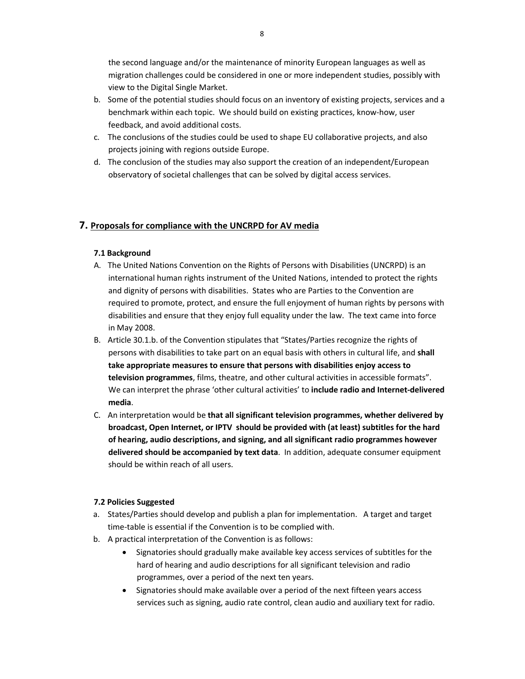the second language and/or the maintenance of minority European languages as well as migration challenges could be considered in one or more independent studies, possibly with view to the Digital Single Market.

- b. Some of the potential studies should focus on an inventory of existing projects, services and a benchmark within each topic. We should build on existing practices, know-how, user feedback, and avoid additional costs.
- c. The conclusions of the studies could be used to shape EU collaborative projects, and also projects joining with regions outside Europe.
- d. The conclusion of the studies may also support the creation of an independent/European observatory of societal challenges that can be solved by digital access services.

# **7. Proposals for compliance with the UNCRPD for AV media**

# **7.1 Background**

- A. The United Nations Convention on the Rights of Persons with Disabilities (UNCRPD) is an international human rights instrument of the United Nations, intended to protect the rights and dignity of persons with disabilities. States who are Parties to the Convention are required to promote, protect, and ensure the full enjoyment of human rights by persons with disabilities and ensure that they enjoy full equality under the law. The text came into force in May 2008.
- B. Article 30.1.b. of the Convention stipulates that "States/Parties recognize the rights of persons with disabilities to take part on an equal basis with others in cultural life, and **shall take appropriate measures to ensure that persons with disabilities enjoy access to television programmes**, films, theatre, and other cultural activities in accessible formats". We can interpret the phrase 'other cultural activities' to **include radio and Internet-delivered media**.
- C. An interpretation would be **that all significant television programmes, whether delivered by broadcast, Open Internet, or IPTV should be provided with (at least) subtitles for the hard of hearing, audio descriptions, and signing, and all significant radio programmes however delivered should be accompanied by text data**. In addition, adequate consumer equipment should be within reach of all users.

### **7.2 Policies Suggested**

- a. States/Parties should develop and publish a plan for implementation. A target and target time-table is essential if the Convention is to be complied with.
- b. A practical interpretation of the Convention is as follows:
	- Signatories should gradually make available key access services of subtitles for the hard of hearing and audio descriptions for all significant television and radio programmes, over a period of the next ten years.
	- Signatories should make available over a period of the next fifteen years access services such as signing, audio rate control, clean audio and auxiliary text for radio.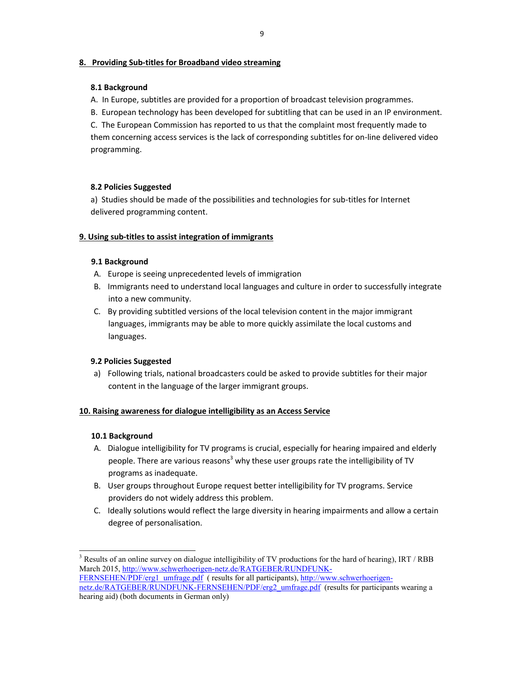# **8. Providing Sub-titles for Broadband video streaming**

# **8.1 Background**

- A. In Europe, subtitles are provided for a proportion of broadcast television programmes.
- B. European technology has been developed for subtitling that can be used in an IP environment.

C. The European Commission has reported to us that the complaint most frequently made to them concerning access services is the lack of corresponding subtitles for on-line delivered video programming.

# **8.2 Policies Suggested**

a) Studies should be made of the possibilities and technologies for sub-titles for Internet delivered programming content.

# **9. Using sub-titles to assist integration of immigrants**

# **9.1 Background**

- A. Europe is seeing unprecedented levels of immigration
- B. Immigrants need to understand local languages and culture in order to successfully integrate into a new community.
- C. By providing subtitled versions of the local television content in the major immigrant languages, immigrants may be able to more quickly assimilate the local customs and languages.

# **9.2 Policies Suggested**

a) Following trials, national broadcasters could be asked to provide subtitles for their major content in the language of the larger immigrant groups.

### **10. Raising awareness for dialogue intelligibility as an Access Service**

# **10.1 Background**

- A. Dialogue intelligibility for TV programs is crucial, especially for hearing impaired and elderly people. There are various reasons<sup>3</sup> why these user groups rate the intelligibility of TV programs as inadequate.
- B. User groups throughout Europe request better intelligibility for TV programs. Service providers do not widely address this problem.
- C. Ideally solutions would reflect the large diversity in hearing impairments and allow a certain degree of personalisation.

 $\overline{a}$  $3$  Results of an online survey on dialogue intelligibility of TV productions for the hard of hearing), IRT / RBB March 2015, http://www.schwerhoerigen-netz.de/RATGEBER/RUNDFUNK-

FERNSEHEN/PDF/erg1\_umfrage.pdf ( results for all participants), http://www.schwerhoerigennetz.de/RATGEBER/RUNDFUNK-FERNSEHEN/PDF/erg2\_umfrage.pdf (results for participants wearing a hearing aid) (both documents in German only)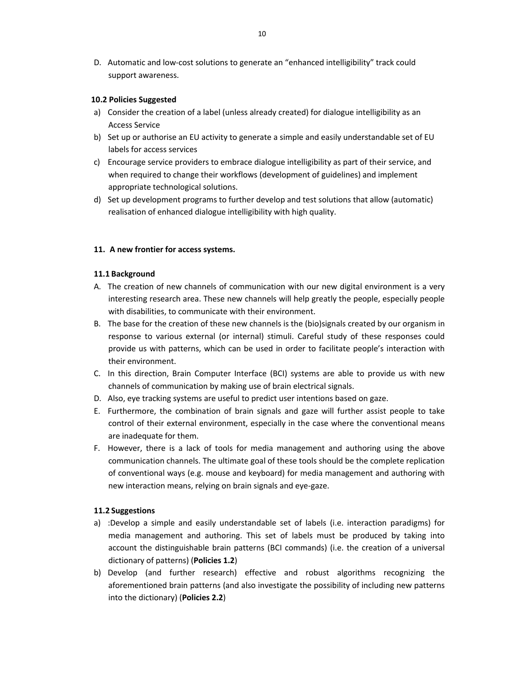D. Automatic and low-cost solutions to generate an "enhanced intelligibility" track could support awareness.

#### **10.2 Policies Suggested**

- a) Consider the creation of a label (unless already created) for dialogue intelligibility as an Access Service
- b) Set up or authorise an EU activity to generate a simple and easily understandable set of EU labels for access services
- c) Encourage service providers to embrace dialogue intelligibility as part of their service, and when required to change their workflows (development of guidelines) and implement appropriate technological solutions.
- d) Set up development programs to further develop and test solutions that allow (automatic) realisation of enhanced dialogue intelligibility with high quality.

#### **11. A new frontier for access systems.**

#### **11.1 Background**

- A. The creation of new channels of communication with our new digital environment is a very interesting research area. These new channels will help greatly the people, especially people with disabilities, to communicate with their environment.
- B. The base for the creation of these new channels is the (bio)signals created by our organism in response to various external (or internal) stimuli. Careful study of these responses could provide us with patterns, which can be used in order to facilitate people's interaction with their environment.
- C. In this direction, Brain Computer Interface (BCI) systems are able to provide us with new channels of communication by making use of brain electrical signals.
- D. Also, eye tracking systems are useful to predict user intentions based on gaze.
- E. Furthermore, the combination of brain signals and gaze will further assist people to take control of their external environment, especially in the case where the conventional means are inadequate for them.
- F. However, there is a lack of tools for media management and authoring using the above communication channels. The ultimate goal of these tools should be the complete replication of conventional ways (e.g. mouse and keyboard) for media management and authoring with new interaction means, relying on brain signals and eye-gaze.

### **11.2 Suggestions**

- a) :Develop a simple and easily understandable set of labels (i.e. interaction paradigms) for media management and authoring. This set of labels must be produced by taking into account the distinguishable brain patterns (BCI commands) (i.e. the creation of a universal dictionary of patterns) (**Policies 1.2**)
- b) Develop (and further research) effective and robust algorithms recognizing the aforementioned brain patterns (and also investigate the possibility of including new patterns into the dictionary) (**Policies 2.2**)